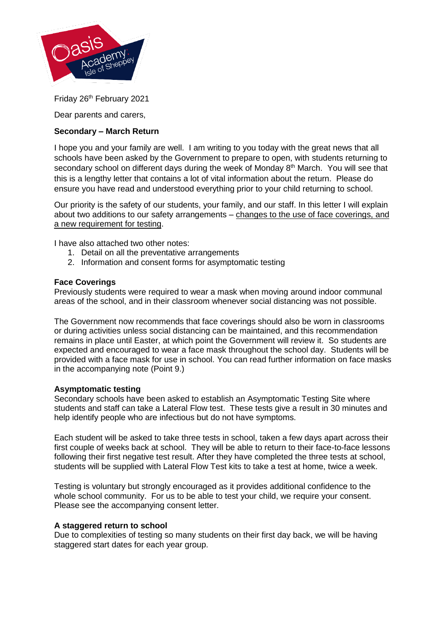

Friday 26<sup>th</sup> February 2021

Dear parents and carers,

# **Secondary – March Return**

I hope you and your family are well. I am writing to you today with the great news that all schools have been asked by the Government to prepare to open, with students returning to secondary school on different days during the week of Monday 8<sup>th</sup> March. You will see that this is a lengthy letter that contains a lot of vital information about the return. Please do ensure you have read and understood everything prior to your child returning to school.

Our priority is the safety of our students, your family, and our staff. In this letter I will explain about two additions to our safety arrangements – changes to the use of face coverings, and a new requirement for testing.

I have also attached two other notes:

- 1. Detail on all the preventative arrangements
- 2. Information and consent forms for asymptomatic testing

# **Face Coverings**

Previously students were required to wear a mask when moving around indoor communal areas of the school, and in their classroom whenever social distancing was not possible.

The Government now recommends that face coverings should also be worn in classrooms or during activities unless social distancing can be maintained, and this recommendation remains in place until Easter, at which point the Government will review it. So students are expected and encouraged to wear a face mask throughout the school day. Students will be provided with a face mask for use in school. You can read further information on face masks in the accompanying note (Point 9.)

# **Asymptomatic testing**

Secondary schools have been asked to establish an Asymptomatic Testing Site where students and staff can take a Lateral Flow test. These tests give a result in 30 minutes and help identify people who are infectious but do not have symptoms.

Each student will be asked to take three tests in school, taken a few days apart across their first couple of weeks back at school. They will be able to return to their face-to-face lessons following their first negative test result. After they have completed the three tests at school, students will be supplied with Lateral Flow Test kits to take a test at home, twice a week.

Testing is voluntary but strongly encouraged as it provides additional confidence to the whole school community. For us to be able to test your child, we require your consent. Please see the accompanying consent letter.

# **A staggered return to school**

Due to complexities of testing so many students on their first day back, we will be having staggered start dates for each year group.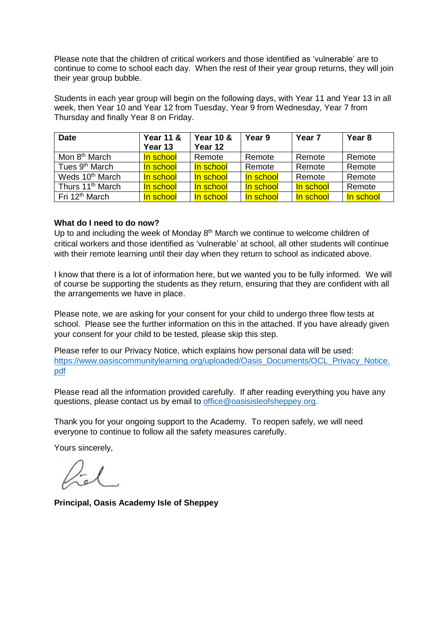Please note that the children of critical workers and those identified as 'vulnerable' are to continue to come to school each day. When the rest of their year group returns, they will join their year group bubble.

Students in each year group will begin on the following days, with Year 11 and Year 13 in all week, then Year 10 and Year 12 from Tuesday, Year 9 from Wednesday, Year 7 from Thursday and finally Year 8 on Friday.

| <b>Date</b>                  | <b>Year 11 &amp;</b><br>Year 13 | <b>Year 10 &amp;</b><br>Year 12 | Year 9    | Year <sub>7</sub> | Year 8    |
|------------------------------|---------------------------------|---------------------------------|-----------|-------------------|-----------|
| Mon 8 <sup>th</sup> March    | In school                       | Remote                          | Remote    | Remote            | Remote    |
| Tues 9 <sup>th</sup> March   | In school                       | In school                       | Remote    | Remote            | Remote    |
| Weds 10 <sup>th</sup> March  | In school                       | In school                       | In school | Remote            | Remote    |
| Thurs 11 <sup>th</sup> March | In school                       | In school                       | In school | In school         | Remote    |
| Fri 12 <sup>th</sup> March   | In school                       | In school                       | In school | In school         | In school |

## **What do I need to do now?**

Up to and including the week of Monday 8<sup>th</sup> March we continue to welcome children of critical workers and those identified as 'vulnerable' at school, all other students will continue with their remote learning until their day when they return to school as indicated above.

I know that there is a lot of information here, but we wanted you to be fully informed. We will of course be supporting the students as they return, ensuring that they are confident with all the arrangements we have in place.

Please note, we are asking for your consent for your child to undergo three flow tests at school. Please see the further information on this in the attached. If you have already given your consent for your child to be tested, please skip this step.

Please refer to our Privacy Notice, which explains how personal data will be used: [https://www.oasiscommunitylearning.org/uploaded/Oasis\\_Documents/OCL\\_Privacy\\_Notice.](https://www.oasiscommunitylearning.org/uploaded/Oasis_Documents/OCL_Privacy_Notice.pdf) [pdf](https://www.oasiscommunitylearning.org/uploaded/Oasis_Documents/OCL_Privacy_Notice.pdf)

Please read all the information provided carefully. If after reading everything you have any questions, please contact us by email to [office@oasisisleofsheppey.org.](mailto:office@oasisisleofsheppey.org)

Thank you for your ongoing support to the Academy. To reopen safely, we will need everyone to continue to follow all the safety measures carefully.

Yours sincerely,

**Principal, Oasis Academy Isle of Sheppey**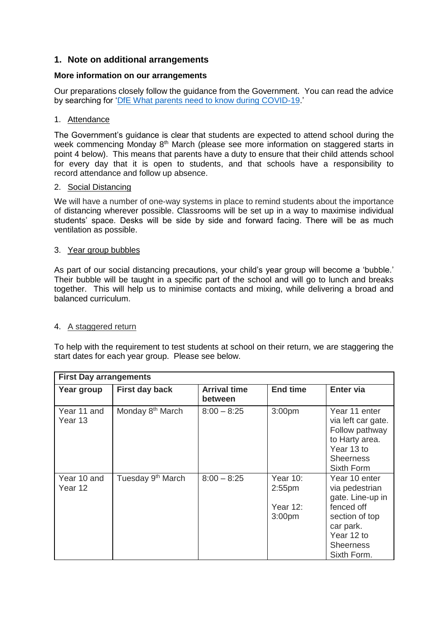# **1. Note on additional arrangements**

# **More information on our arrangements**

Our preparations closely follow the guidance from the Government. You can read the advice by searching for ['DfE What parents need to know](https://www.gov.uk/government/publications/what-parents-and-carers-need-to-know-about-early-years-providers-schools-and-colleges-during-the-coronavirus-covid-19-outbreak/what-parents-need-to-know-about-early-years-providers-schools-and-colleges-during-covid-19) during COVID-19.'

# 1. Attendance

The Government's guidance is clear that students are expected to attend school during the week commencing Monday 8<sup>th</sup> March (please see more information on staggered starts in point 4 below). This means that parents have a duty to ensure that their child attends school for every day that it is open to students, and that schools have a responsibility to record attendance and follow up absence.

## 2. Social Distancing

We will have a number of one-way systems in place to remind students about the importance of distancing wherever possible. Classrooms will be set up in a way to maximise individual students' space. Desks will be side by side and forward facing. There will be as much ventilation as possible.

## 3. Year group bubbles

As part of our social distancing precautions, your child's year group will become a 'bubble.' Their bubble will be taught in a specific part of the school and will go to lunch and breaks together. This will help us to minimise contacts and mixing, while delivering a broad and balanced curriculum.

# 4. A staggered return

To help with the requirement to test students at school on their return, we are staggering the start dates for each year group. Please see below.

| <b>First Day arrangements</b> |                               |                                |                                                                   |                                                                                                                                                   |  |  |  |
|-------------------------------|-------------------------------|--------------------------------|-------------------------------------------------------------------|---------------------------------------------------------------------------------------------------------------------------------------------------|--|--|--|
| Year group                    | <b>First day back</b>         | <b>Arrival time</b><br>between | <b>End time</b>                                                   | <b>Enter via</b>                                                                                                                                  |  |  |  |
| Year 11 and<br>Year 13        | Monday 8 <sup>th</sup> March  | $8:00 - 8:25$                  | 3:00pm                                                            | Year 11 enter<br>via left car gate.<br>Follow pathway<br>to Harty area.<br>Year 13 to<br><b>Sheerness</b><br>Sixth Form                           |  |  |  |
| Year 10 and<br>Year 12        | Tuesday 9 <sup>th</sup> March | $8:00 - 8:25$                  | <b>Year 10:</b><br>$2:55$ pm<br>Year $12$ :<br>3:00 <sub>pm</sub> | Year 10 enter<br>via pedestrian<br>gate. Line-up in<br>fenced off<br>section of top<br>car park.<br>Year 12 to<br><b>Sheerness</b><br>Sixth Form. |  |  |  |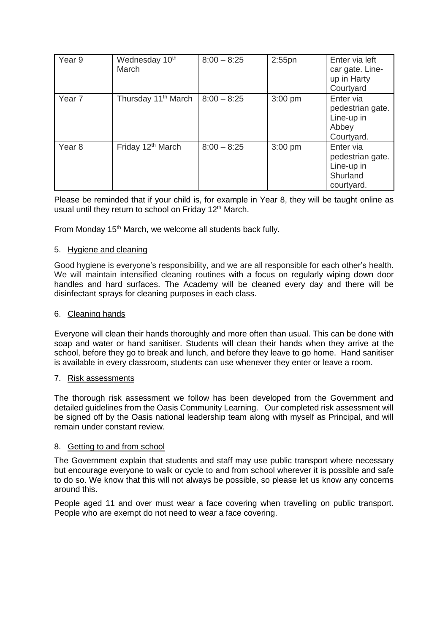| Year 9            | Wednesday 10 <sup>th</sup><br>March | $8:00 - 8:25$ | $2:55$ pn | Enter via left<br>car gate. Line-<br>up in Harty<br>Courtyard         |
|-------------------|-------------------------------------|---------------|-----------|-----------------------------------------------------------------------|
| Year <sub>7</sub> | Thursday 11 <sup>th</sup> March     | $8:00 - 8:25$ | $3:00$ pm | Enter via<br>pedestrian gate.<br>Line-up in<br>Abbey<br>Courtyard.    |
| Year <sub>8</sub> | Friday 12 <sup>th</sup> March       | $8:00 - 8:25$ | $3:00$ pm | Enter via<br>pedestrian gate.<br>Line-up in<br>Shurland<br>courtyard. |

Please be reminded that if your child is, for example in Year 8, they will be taught online as usual until they return to school on Friday 12<sup>th</sup> March.

From Monday 15<sup>th</sup> March, we welcome all students back fully.

## 5. Hygiene and cleaning

Good hygiene is everyone's responsibility, and we are all responsible for each other's health. We will maintain intensified cleaning routines with a focus on regularly wiping down door handles and hard surfaces. The Academy will be cleaned every day and there will be disinfectant sprays for cleaning purposes in each class.

#### 6. Cleaning hands

Everyone will clean their hands thoroughly and more often than usual. This can be done with soap and water or hand sanitiser. Students will clean their hands when they arrive at the school, before they go to break and lunch, and before they leave to go home. Hand sanitiser is available in every classroom, students can use whenever they enter or leave a room.

#### 7. Risk assessments

The thorough risk assessment we follow has been developed from the Government and detailed guidelines from the Oasis Community Learning. Our completed risk assessment will be signed off by the Oasis national leadership team along with myself as Principal, and will remain under constant review.

#### 8. Getting to and from school

The Government explain that students and staff may use public transport where necessary but encourage everyone to walk or cycle to and from school wherever it is possible and safe to do so. We know that this will not always be possible, so please let us know any concerns around this.

People aged 11 and over must wear a face covering when travelling on public transport. People who are exempt do not need to wear a face covering.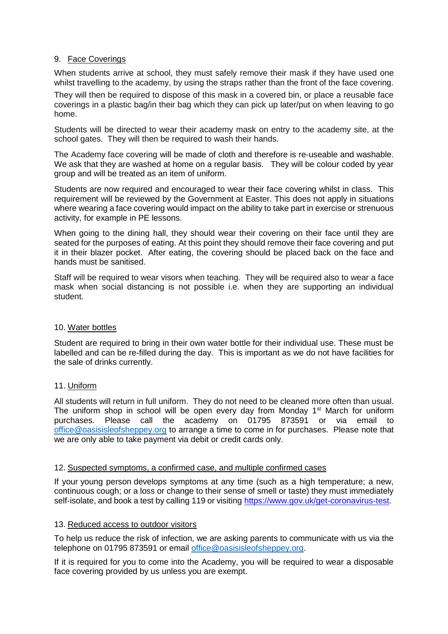## 9. Face Coverings

When students arrive at school, they must safely remove their mask if they have used one whilst travelling to the academy, by using the straps rather than the front of the face covering.

They will then be required to dispose of this mask in a covered bin, or place a reusable face coverings in a plastic bag/in their bag which they can pick up later/put on when leaving to go home.

Students will be directed to wear their academy mask on entry to the academy site, at the school gates. They will then be required to wash their hands.

The Academy face covering will be made of cloth and therefore is re-useable and washable. We ask that they are washed at home on a regular basis. They will be colour coded by year group and will be treated as an item of uniform.

Students are now required and encouraged to wear their face covering whilst in class. This requirement will be reviewed by the Government at Easter. This does not apply in situations where wearing a face covering would impact on the ability to take part in exercise or strenuous activity, for example in PE lessons.

When going to the dining hall, they should wear their covering on their face until they are seated for the purposes of eating. At this point they should remove their face covering and put it in their blazer pocket. After eating, the covering should be placed back on the face and hands must be sanitised.

Staff will be required to wear visors when teaching. They will be required also to wear a face mask when social distancing is not possible i.e. when they are supporting an individual student.

#### 10. Water bottles

Student are required to bring in their own water bottle for their individual use. These must be labelled and can be re-filled during the day. This is important as we do not have facilities for the sale of drinks currently.

# 11. Uniform

All students will return in full uniform. They do not need to be cleaned more often than usual. The uniform shop in school will be open every day from Monday  $1<sup>st</sup>$  March for uniform purchases. Please call the academy on 01795 873591 or via email to [office@oasisisleofsheppey.org](mailto:office@oasisisleofsheppey.org) to arrange a time to come in for purchases. Please note that we are only able to take payment via debit or credit cards only.

#### 12. Suspected symptoms, a confirmed case, and multiple confirmed cases

If your young person develops symptoms at any time (such as a high temperature; a new, continuous cough; or a loss or change to their sense of smell or taste) they must immediately self-isolate, and book a test by calling 119 or visiting [https://www.gov.uk/get-coronavirus-test.](https://www.gov.uk/get-coronavirus-test)

#### 13. Reduced access to outdoor visitors

To help us reduce the risk of infection, we are asking parents to communicate with us via the telephone on 01795 873591 or email [office@oasisisleofsheppey.org.](mailto:office@oasisisleofsheppey.org)

If it is required for you to come into the Academy, you will be required to wear a disposable face covering provided by us unless you are exempt.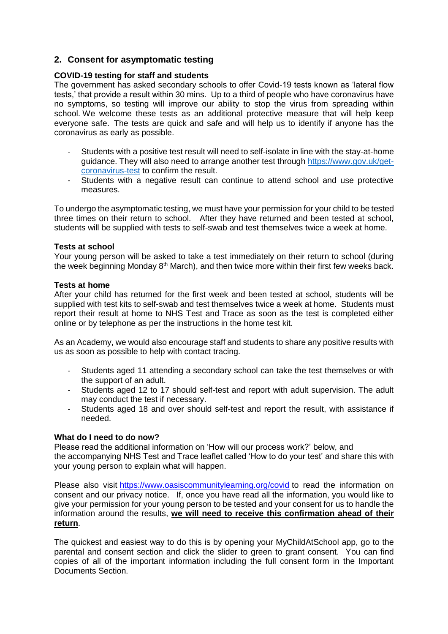# **2. Consent for asymptomatic testing**

# **COVID-19 testing for staff and students**

The government has asked secondary schools to offer Covid-19 tests known as 'lateral flow tests,' that provide a result within 30 mins. Up to a third of people who have coronavirus have no symptoms, so testing will improve our ability to stop the virus from spreading within school. We welcome these tests as an additional protective measure that will help keep everyone safe. The tests are quick and safe and will help us to identify if anyone has the coronavirus as early as possible.

- Students with a positive test result will need to self-isolate in line with the stay-at-home guidance. They will also need to arrange another test through [https://www.gov.uk/get](https://www.gov.uk/get-coronavirus-test)[coronavirus-test](https://www.gov.uk/get-coronavirus-test) to confirm the result.
- Students with a negative result can continue to attend school and use protective measures.

To undergo the asymptomatic testing, we must have your permission for your child to be tested three times on their return to school. After they have returned and been tested at school, students will be supplied with tests to self-swab and test themselves twice a week at home.

#### **Tests at school**

Your young person will be asked to take a test immediately on their return to school (during the week beginning Monday 8<sup>th</sup> March), and then twice more within their first few weeks back.

## **Tests at home**

After your child has returned for the first week and been tested at school, students will be supplied with test kits to self-swab and test themselves twice a week at home. Students must report their result at home to NHS Test and Trace as soon as the test is completed either online or by telephone as per the instructions in the home test kit.

As an Academy, we would also encourage staff and students to share any positive results with us as soon as possible to help with contact tracing.

- Students aged 11 attending a secondary school can take the test themselves or with the support of an adult.
- Students aged 12 to 17 should self-test and report with adult supervision. The adult may conduct the test if necessary.
- Students aged 18 and over should self-test and report the result, with assistance if needed.

#### **What do I need to do now?**

Please read the additional information on 'How will our process work?' below, and the accompanying NHS Test and Trace leaflet called 'How to do your test' and share this with your young person to explain what will happen.

Please also visit <https://www.oasiscommunitylearning.org/covid> to read the information on consent and our privacy notice. If, once you have read all the information, you would like to give your permission for your young person to be tested and your consent for us to handle the information around the results, **we will need to receive this confirmation ahead of their return**.

The quickest and easiest way to do this is by opening your MyChildAtSchool app, go to the parental and consent section and click the slider to green to grant consent. You can find copies of all of the important information including the full consent form in the Important Documents Section.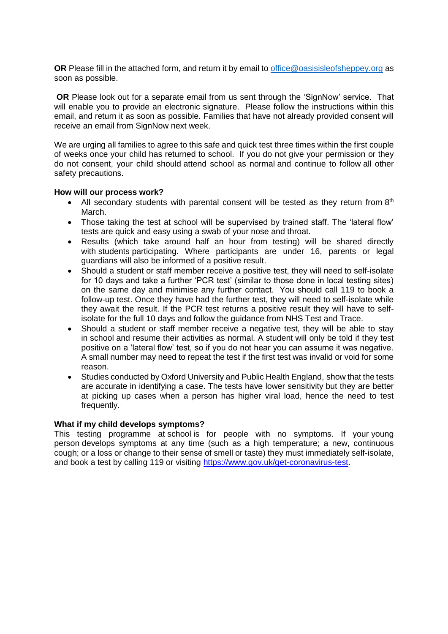**OR** Please fill in the attached form, and return it by email to [office@oasisisleofsheppey.org](mailto:office@oasisisleofsheppey.org) as soon as possible.

**OR** Please look out for a separate email from us sent through the 'SignNow' service. That will enable you to provide an electronic signature. Please follow the instructions within this email, and return it as soon as possible. Families that have not already provided consent will receive an email from SignNow next week.

We are urging all families to agree to this safe and quick test three times within the first couple of weeks once your child has returned to school. If you do not give your permission or they do not consent, your child should attend school as normal and continue to follow all other safety precautions.

## **How will our process work?**

- All secondary students with parental consent will be tested as they return from  $8<sup>th</sup>$ March.
- Those taking the test at school will be supervised by trained staff. The 'lateral flow' tests are quick and easy using a swab of your nose and throat.
- Results (which take around half an hour from testing) will be shared directly with students participating. Where participants are under 16, parents or legal guardians will also be informed of a positive result.
- Should a student or staff member receive a positive test, they will need to self-isolate for 10 days and take a further 'PCR test' (similar to those done in local testing sites) on the same day and minimise any further contact. You should call 119 to book a follow-up test. Once they have had the further test, they will need to self-isolate while they await the result. If the PCR test returns a positive result they will have to selfisolate for the full 10 days and follow the guidance from NHS Test and Trace.
- Should a student or staff member receive a negative test, they will be able to stay in school and resume their activities as normal. A student will only be told if they test positive on a 'lateral flow' test, so if you do not hear you can assume it was negative. A small number may need to repeat the test if the first test was invalid or void for some reason.
- Studies conducted by Oxford University and Public Health England, show that the tests are accurate in identifying a case. The tests have lower sensitivity but they are better at picking up cases when a person has higher viral load, hence the need to test frequently.

#### **What if my child develops symptoms?**

This testing programme at school is for people with no symptoms. If your young person develops symptoms at any time (such as a high temperature; a new, continuous cough; or a loss or change to their sense of smell or taste) they must immediately self-isolate, and book a test by calling 119 or visiting [https://www.gov.uk/get-coronavirus-test.](https://www.gov.uk/get-coronavirus-test)